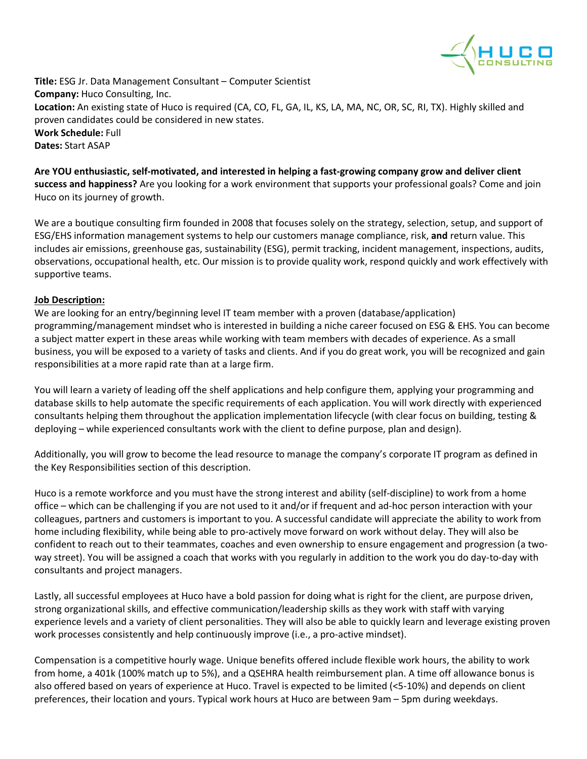

**Title:** ESG Jr. Data Management Consultant – Computer Scientist **Company:** Huco Consulting, Inc. **Location:** An existing state of Huco is required (CA, CO, FL, GA, IL, KS, LA, MA, NC, OR, SC, RI, TX). Highly skilled and proven candidates could be considered in new states. **Work Schedule:** Full **Dates:** Start ASAP

**Are YOU enthusiastic, self-motivated, and interested in helping a fast-growing company grow and deliver client success and happiness?** Are you looking for a work environment that supports your professional goals? Come and join Huco on its journey of growth.

We are a boutique consulting firm founded in 2008 that focuses solely on the strategy, selection, setup, and support of ESG/EHS information management systems to help our customers manage compliance, risk, **and** return value. This includes air emissions, greenhouse gas, sustainability (ESG), permit tracking, incident management, inspections, audits, observations, occupational health, etc. Our mission is to provide quality work, respond quickly and work effectively with supportive teams.

## **Job Description:**

We are looking for an entry/beginning level IT team member with a proven (database/application) programming/management mindset who is interested in building a niche career focused on ESG & EHS. You can become a subject matter expert in these areas while working with team members with decades of experience. As a small business, you will be exposed to a variety of tasks and clients. And if you do great work, you will be recognized and gain responsibilities at a more rapid rate than at a large firm.

You will learn a variety of leading off the shelf applications and help configure them, applying your programming and database skills to help automate the specific requirements of each application. You will work directly with experienced consultants helping them throughout the application implementation lifecycle (with clear focus on building, testing & deploying – while experienced consultants work with the client to define purpose, plan and design).

Additionally, you will grow to become the lead resource to manage the company's corporate IT program as defined in the Key Responsibilities section of this description.

Huco is a remote workforce and you must have the strong interest and ability (self-discipline) to work from a home office – which can be challenging if you are not used to it and/or if frequent and ad-hoc person interaction with your colleagues, partners and customers is important to you. A successful candidate will appreciate the ability to work from home including flexibility, while being able to pro-actively move forward on work without delay. They will also be confident to reach out to their teammates, coaches and even ownership to ensure engagement and progression (a twoway street). You will be assigned a coach that works with you regularly in addition to the work you do day-to-day with consultants and project managers.

Lastly, all successful employees at Huco have a bold passion for doing what is right for the client, are purpose driven, strong organizational skills, and effective communication/leadership skills as they work with staff with varying experience levels and a variety of client personalities. They will also be able to quickly learn and leverage existing proven work processes consistently and help continuously improve (i.e., a pro-active mindset).

Compensation is a competitive hourly wage. Unique benefits offered include flexible work hours, the ability to work from home, a 401k (100% match up to 5%), and a QSEHRA health reimbursement plan. A time off allowance bonus is also offered based on years of experience at Huco. Travel is expected to be limited (<5-10%) and depends on client preferences, their location and yours. Typical work hours at Huco are between 9am – 5pm during weekdays.